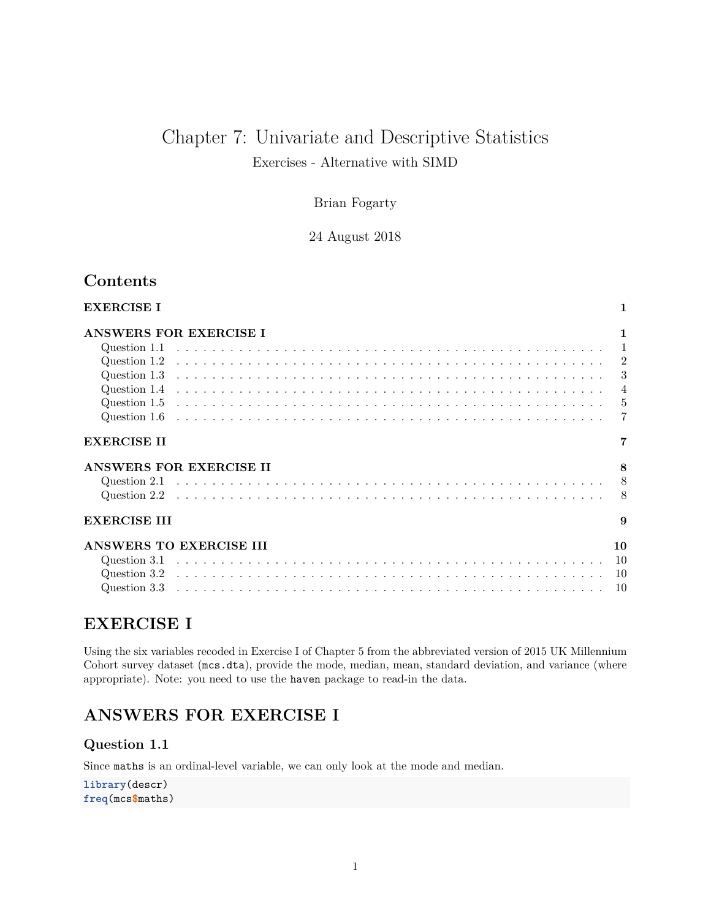# Chapter 7: Univariate and Descriptive Statistics

Exercises - Alternative with SIMD

### Brian Fogarty

24 August 2018

## **Contents**

| <b>EXERCISE I</b>       |                |
|-------------------------|----------------|
| ANSWERS FOR EXERCISE I  | 1              |
|                         | $\overline{1}$ |
|                         |                |
|                         | 3              |
|                         | $\overline{4}$ |
|                         | $-5$           |
|                         | 7              |
| <b>EXERCISE II</b>      |                |
| ANSWERS FOR EXERCISE II | 8              |
|                         |                |
|                         | -8             |
| <b>EXERCISE III</b>     | $\mathbf{Q}$   |
| ANSWERS TO EXERCISE III | 10             |
|                         |                |
|                         | <sup>10</sup>  |
|                         | 10             |

## <span id="page-0-0"></span>**EXERCISE I**

Using the six variables recoded in Exercise I of Chapter 5 from the abbreviated version of 2015 UK Millennium Cohort survey dataset (mcs.dta), provide the mode, median, mean, standard deviation, and variance (where appropriate). Note: you need to use the haven package to read-in the data.

## <span id="page-0-1"></span>**ANSWERS FOR EXERCISE I**

<span id="page-0-2"></span>**Question 1.1**

Since maths is an ordinal-level variable, we can only look at the mode and median.

**library**(descr) **freq**(mcs**\$**maths)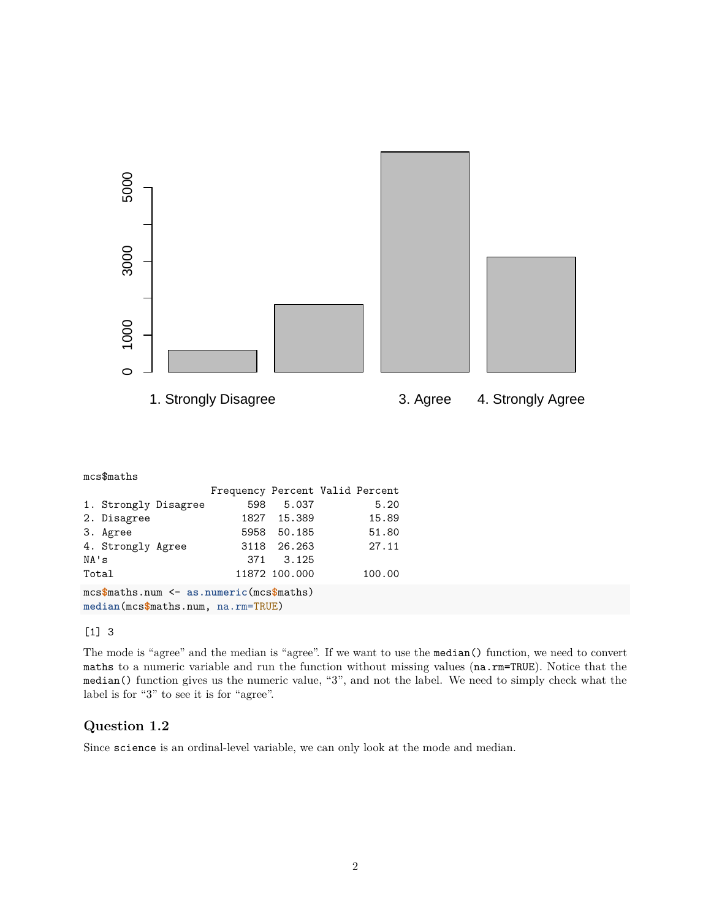

mcs**\$**maths.num <- **as.numeric**(mcs**\$**maths) **median**(mcs**\$**maths.num, na.rm=TRUE)

#### [1] 3

The mode is "agree" and the median is "agree". If we want to use the median() function, we need to convert maths to a numeric variable and run the function without missing values (na.rm=TRUE). Notice that the median() function gives us the numeric value, "3", and not the label. We need to simply check what the label is for "3" to see it is for "agree".

### <span id="page-1-0"></span>**Question 1.2**

Since science is an ordinal-level variable, we can only look at the mode and median.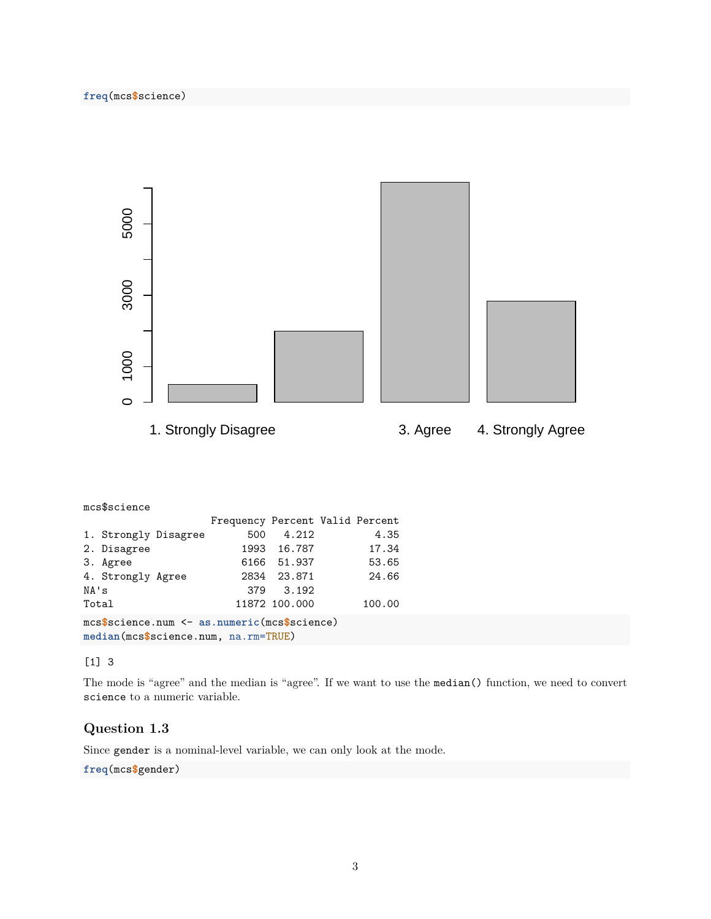

| mcs\$science                                                                                         |                                 |               |  |        |
|------------------------------------------------------------------------------------------------------|---------------------------------|---------------|--|--------|
|                                                                                                      | Frequency Percent Valid Percent |               |  |        |
| 1. Strongly Disagree                                                                                 | 500                             | 4.212         |  | 4.35   |
| 2. Disagree                                                                                          |                                 | 1993 16.787   |  | 17.34  |
| 3. Agree                                                                                             |                                 | 6166 51.937   |  | 53.65  |
| 4. Strongly Agree                                                                                    |                                 | 2834 23.871   |  | 24.66  |
| NA's                                                                                                 |                                 | 379 3.192     |  |        |
| Total                                                                                                |                                 | 11872 100.000 |  | 100.00 |
| $\texttt{mcs\$}$ science.num $\leq$ as.numeric(mcs\$science)<br>median(mcs\$science.num, na.rm=TRUE) |                                 |               |  |        |

[1] 3

The mode is "agree" and the median is "agree". If we want to use the median() function, we need to convert science to a numeric variable.

### <span id="page-2-0"></span>**Question 1.3**

Since gender is a nominal-level variable, we can only look at the mode.

#### **freq**(mcs**\$**gender)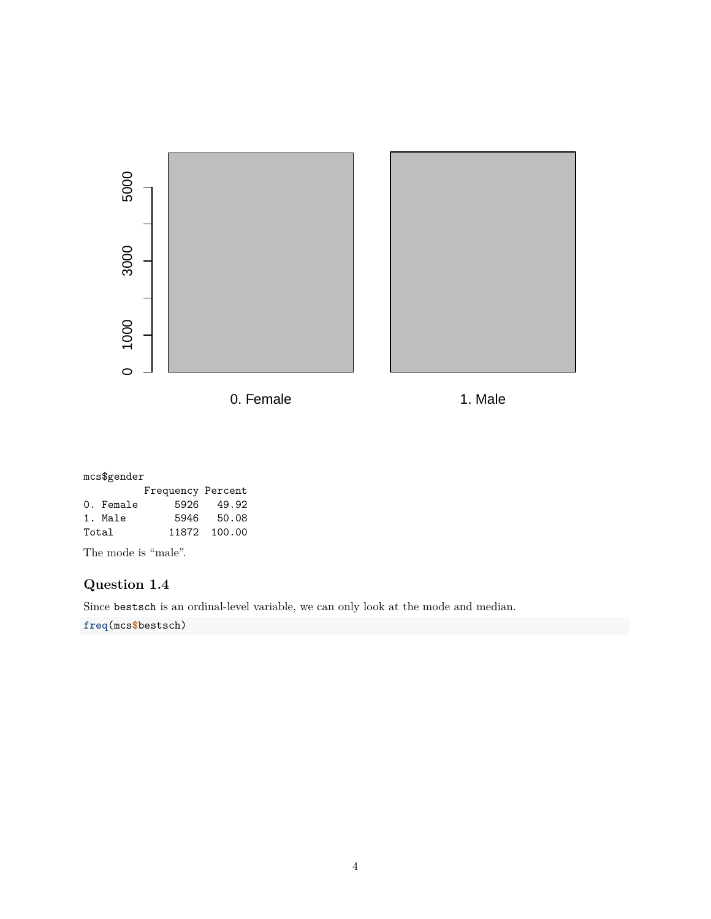

mcs\$gender

|           | Frequency Percent |              |
|-----------|-------------------|--------------|
| 0. Female |                   | 5926 49.92   |
| 1. Male   |                   | 5946 50.08   |
| Total     |                   | 11872 100.00 |

The mode is "male".

### <span id="page-3-0"></span>**Question 1.4**

Since bestsch is an ordinal-level variable, we can only look at the mode and median.

**freq**(mcs**\$**bestsch)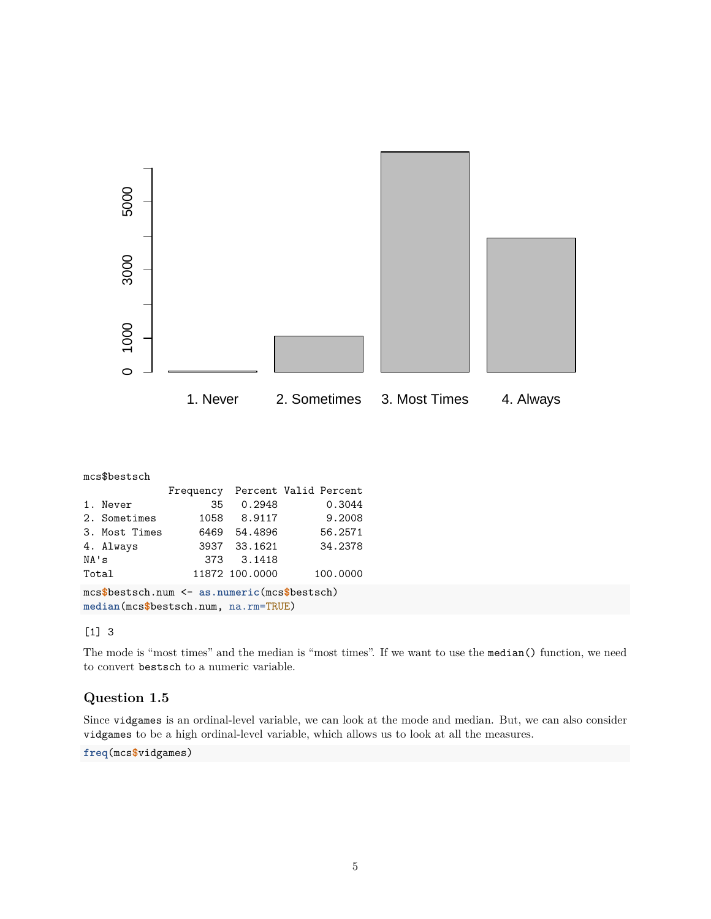

| mcs\$bestsch                                                                         |               |           |                |                       |  |
|--------------------------------------------------------------------------------------|---------------|-----------|----------------|-----------------------|--|
|                                                                                      |               | Frequency |                | Percent Valid Percent |  |
|                                                                                      | 1. Never      | 35        | 0.2948         | 0.3044                |  |
|                                                                                      | 2. Sometimes  | 1058      | 8.9117         | 9.2008                |  |
|                                                                                      | 3. Most Times | 6469      | 54.4896        | 56.2571               |  |
|                                                                                      | 4. Always     |           | 3937 33.1621   | 34.2378               |  |
| NA's                                                                                 |               | 373       | 3.1418         |                       |  |
| Total                                                                                |               |           | 11872 100.0000 | 100.0000              |  |
| mcs\$bestsch.num <- as.numeric(mcs\$bestsch)<br>median(mcs\$bestsch.num, na.rm=TRUE) |               |           |                |                       |  |

#### [1] 3

The mode is "most times" and the median is "most times". If we want to use the median() function, we need to convert bestsch to a numeric variable.

### <span id="page-4-0"></span>**Question 1.5**

Since vidgames is an ordinal-level variable, we can look at the mode and median. But, we can also consider vidgames to be a high ordinal-level variable, which allows us to look at all the measures.

**freq**(mcs**\$**vidgames)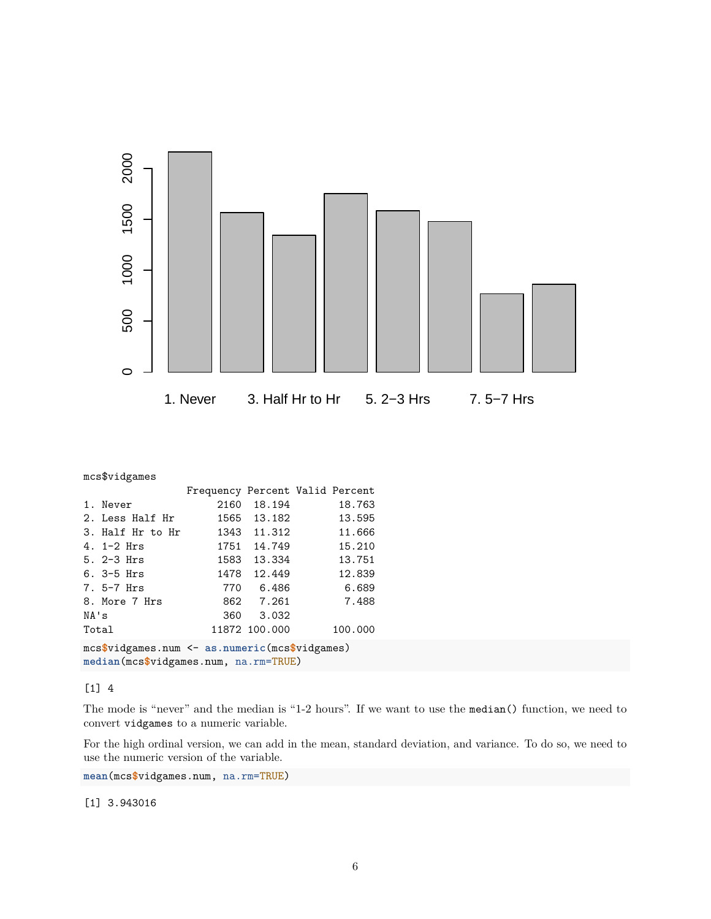

|                                                                                         | mcs\$vidgames    |                                 |               |  |         |
|-----------------------------------------------------------------------------------------|------------------|---------------------------------|---------------|--|---------|
|                                                                                         |                  | Frequency Percent Valid Percent |               |  |         |
|                                                                                         | 1. Never         |                                 | 2160 18.194   |  | 18.763  |
|                                                                                         | 2. Less Half Hr  |                                 | 1565 13.182   |  | 13.595  |
|                                                                                         | 3. Half Hr to Hr |                                 | 1343 11.312   |  | 11.666  |
|                                                                                         | 4. $1-2$ Hrs     |                                 | 1751 14.749   |  | 15.210  |
|                                                                                         | 5. $2-3$ Hrs     |                                 | 1583 13.334   |  | 13.751  |
|                                                                                         | $6.3-5$ Hrs      |                                 | 1478 12.449   |  | 12.839  |
|                                                                                         | $7.5-7$ Hrs      |                                 | 770 6.486     |  | 6.689   |
|                                                                                         | 8. More 7 Hrs    |                                 | 862 7.261     |  | 7.488   |
| NA's                                                                                    |                  |                                 | 360 3.032     |  |         |
| Total                                                                                   |                  |                                 | 11872 100.000 |  | 100.000 |
| mcs\$vidgames.num <- as.numeric(mcs\$vidgames)<br>median(mcs\$vidgames.num, na.rm=TRUE) |                  |                                 |               |  |         |

#### [1] 4

The mode is "never" and the median is "1-2 hours". If we want to use the median() function, we need to convert vidgames to a numeric variable.

For the high ordinal version, we can add in the mean, standard deviation, and variance. To do so, we need to use the numeric version of the variable.

**mean**(mcs**\$**vidgames.num, na.rm=TRUE)

[1] 3.943016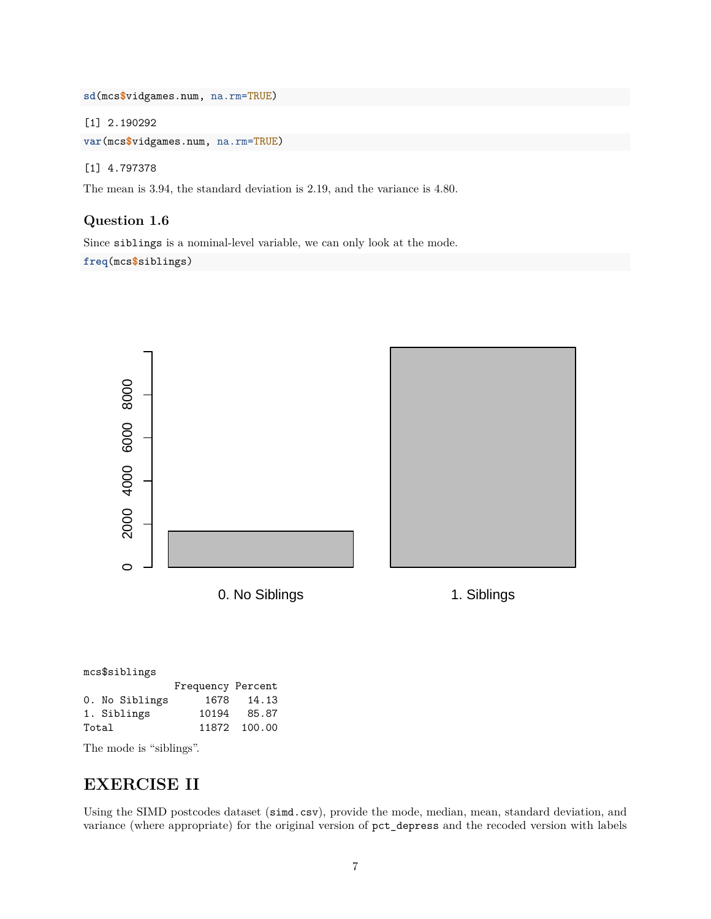**sd**(mcs**\$**vidgames.num, na.rm=TRUE)

[1] 2.190292

**var**(mcs**\$**vidgames.num, na.rm=TRUE)

[1] 4.797378

The mean is 3.94, the standard deviation is 2.19, and the variance is 4.80.

#### <span id="page-6-0"></span>**Question 1.6**

Since siblings is a nominal-level variable, we can only look at the mode. **freq**(mcs**\$**siblings)



| mcs\$siblings |  |                |                   |              |  |
|---------------|--|----------------|-------------------|--------------|--|
|               |  |                | Frequency Percent |              |  |
|               |  | 0. No Siblings |                   | 1678 14.13   |  |
|               |  | 1. Siblings    | 10194             | 85.87        |  |
| Total         |  |                |                   | 11872 100.00 |  |

The mode is "siblings".

## <span id="page-6-1"></span>**EXERCISE II**

Using the SIMD postcodes dataset (simd.csv), provide the mode, median, mean, standard deviation, and variance (where appropriate) for the original version of pct\_depress and the recoded version with labels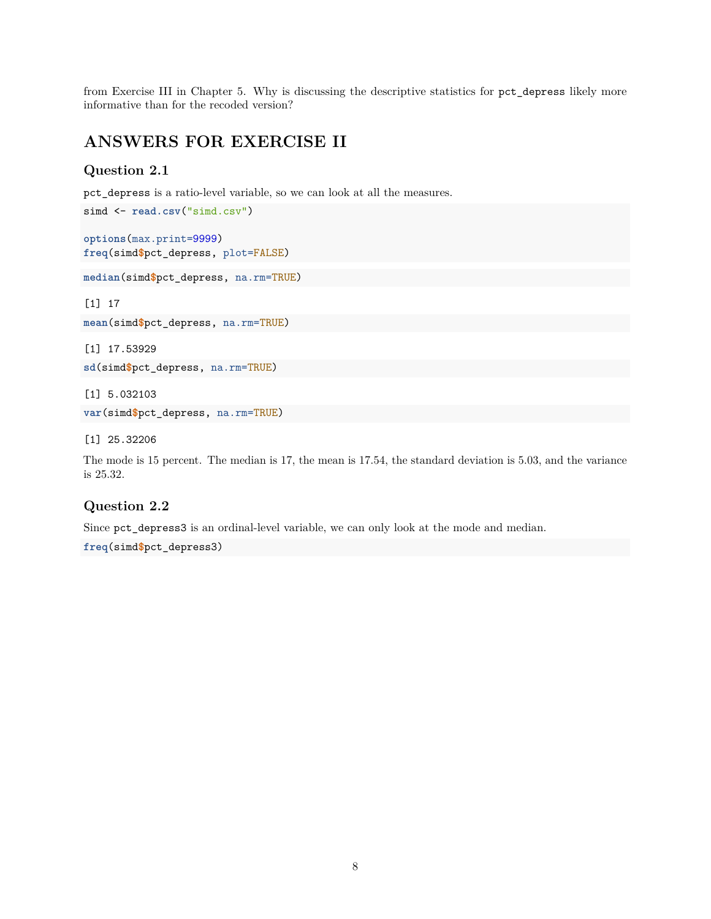from Exercise III in Chapter 5. Why is discussing the descriptive statistics for pct\_depress likely more informative than for the recoded version?

## <span id="page-7-0"></span>**ANSWERS FOR EXERCISE II**

#### <span id="page-7-1"></span>**Question 2.1**

pct\_depress is a ratio-level variable, so we can look at all the measures.

```
options(max.print=9999)
freq(simd$pct_depress, plot=FALSE)
```
simd  $\leq$  read.csv<sup>("simd.csv")</sup>

```
median(simd$pct_depress, na.rm=TRUE)
```
[1] 17

**mean**(simd**\$**pct\_depress, na.rm=TRUE)

[1] 17.53929

```
sd(simd$pct_depress, na.rm=TRUE)
```
[1] 5.032103

```
var(simd$pct_depress, na.rm=TRUE)
```
[1] 25.32206

The mode is 15 percent. The median is 17, the mean is 17.54, the standard deviation is 5.03, and the variance is 25.32.

### <span id="page-7-2"></span>**Question 2.2**

Since pct\_depress3 is an ordinal-level variable, we can only look at the mode and median.

**freq**(simd**\$**pct\_depress3)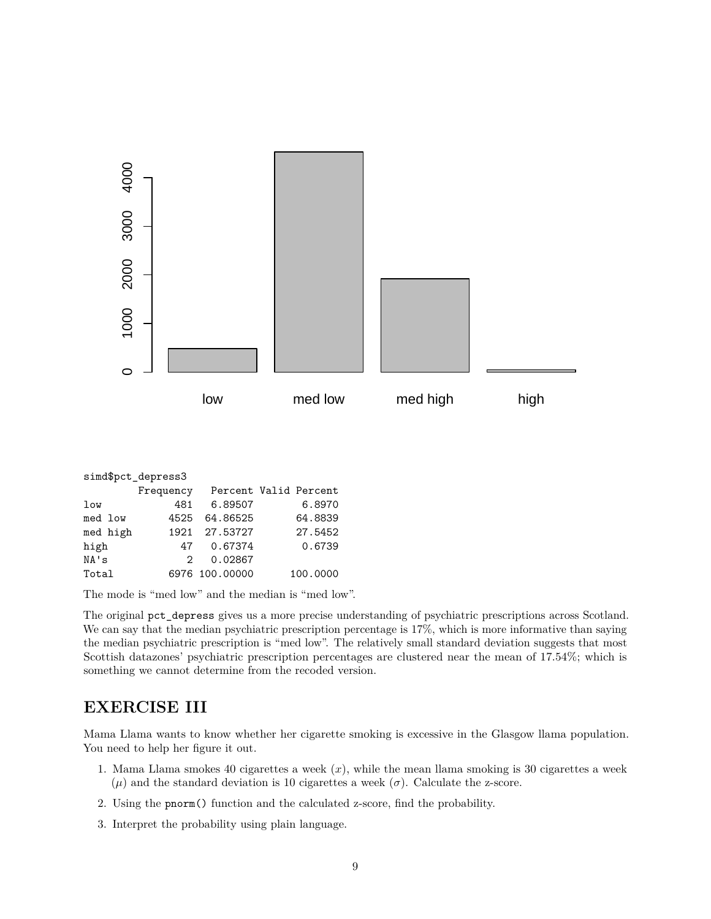

| simd\$pct depress3 |               |                |                       |  |  |
|--------------------|---------------|----------------|-----------------------|--|--|
|                    | Frequency     |                | Percent Valid Percent |  |  |
| low                | 481           | 6.89507        | 6.8970                |  |  |
| med low            | 4525          | 64.86525       | 64.8839               |  |  |
| med high           | 1921          | 27.53727       | 27.5452               |  |  |
| high               | 47            | 0.67374        | 0.6739                |  |  |
| NA's               | $\mathcal{P}$ | 0.02867        |                       |  |  |
| Total              |               | 6976 100.00000 | 100.0000              |  |  |

The mode is "med low" and the median is "med low".

The original pct depress gives us a more precise understanding of psychiatric prescriptions across Scotland. We can say that the median psychiatric prescription percentage is 17%, which is more informative than saying the median psychiatric prescription is "med low". The relatively small standard deviation suggests that most Scottish datazones' psychiatric prescription percentages are clustered near the mean of 17.54%; which is something we cannot determine from the recoded version.

## <span id="page-8-0"></span>**EXERCISE III**

Mama Llama wants to know whether her cigarette smoking is excessive in the Glasgow llama population. You need to help her figure it out.

- 1. Mama Llama smokes 40 cigarettes a week (*x*), while the mean llama smoking is 30 cigarettes a week  $(μ)$  and the standard deviation is 10 cigarettes a week  $(σ)$ . Calculate the z-score.
- 2. Using the pnorm() function and the calculated z-score, find the probability.
- 3. Interpret the probability using plain language.